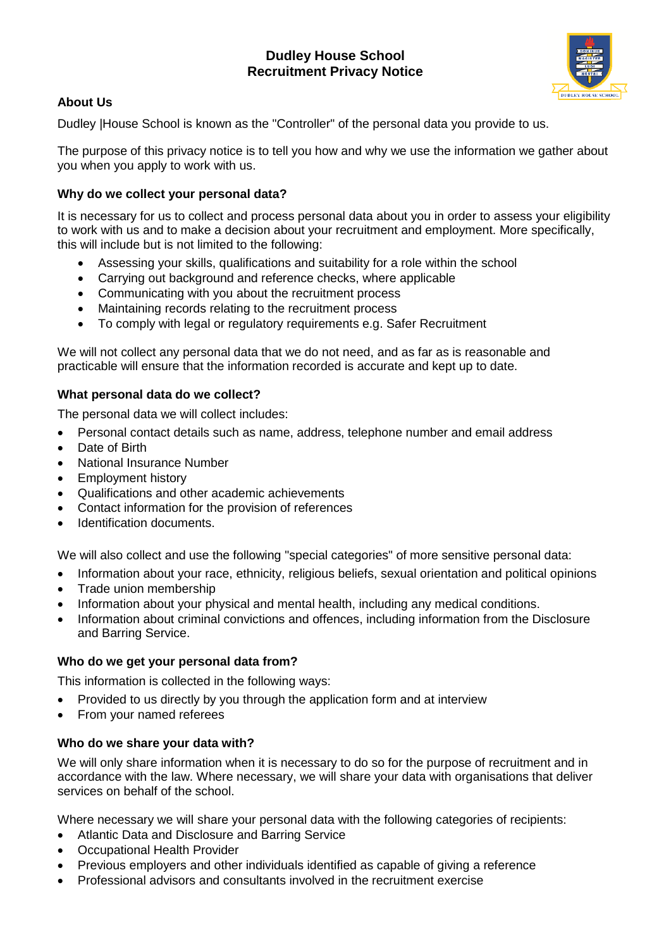# **Dudley House School Recruitment Privacy Notice**



## **About Us**

Dudley |House School is known as the "Controller" of the personal data you provide to us.

The purpose of this privacy notice is to tell you how and why we use the information we gather about you when you apply to work with us.

## **Why do we collect your personal data?**

It is necessary for us to collect and process personal data about you in order to assess your eligibility to work with us and to make a decision about your recruitment and employment. More specifically, this will include but is not limited to the following:

- Assessing your skills, qualifications and suitability for a role within the school
- Carrying out background and reference checks, where applicable
- Communicating with you about the recruitment process
- Maintaining records relating to the recruitment process
- To comply with legal or regulatory requirements e.g. Safer Recruitment

We will not collect any personal data that we do not need, and as far as is reasonable and practicable will ensure that the information recorded is accurate and kept up to date.

### **What personal data do we collect?**

The personal data we will collect includes:

- Personal contact details such as name, address, telephone number and email address
- Date of Birth
- National Insurance Number
- Employment history
- Qualifications and other academic achievements
- Contact information for the provision of references
- Identification documents.

We will also collect and use the following "special categories" of more sensitive personal data:

- Information about your race, ethnicity, religious beliefs, sexual orientation and political opinions
- Trade union membership
- Information about your physical and mental health, including any medical conditions.
- Information about criminal convictions and offences, including information from the Disclosure and Barring Service.

#### **Who do we get your personal data from?**

This information is collected in the following ways:

- Provided to us directly by you through the application form and at interview
- From your named referees

#### **Who do we share your data with?**

We will only share information when it is necessary to do so for the purpose of recruitment and in accordance with the law. Where necessary, we will share your data with organisations that deliver services on behalf of the school.

Where necessary we will share your personal data with the following categories of recipients:

- Atlantic Data and Disclosure and Barring Service
- Occupational Health Provider
- Previous employers and other individuals identified as capable of giving a reference
- Professional advisors and consultants involved in the recruitment exercise